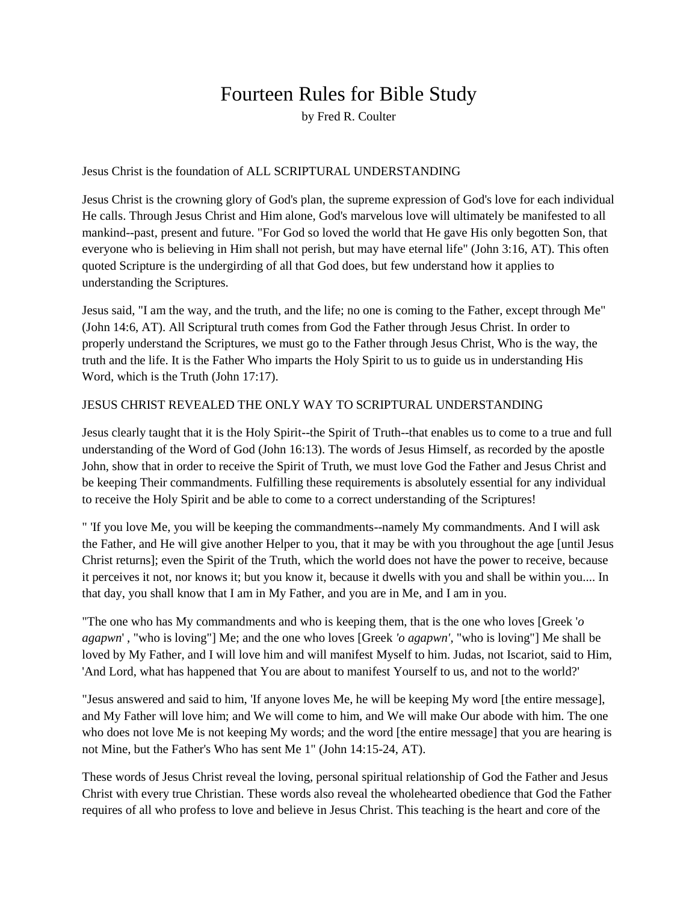# Fourteen Rules for Bible Study

by Fred R. Coulter

Jesus Christ is the foundation of ALL SCRIPTURAL UNDERSTANDING

Jesus Christ is the crowning glory of God's plan, the supreme expression of God's love for each individual He calls. Through Jesus Christ and Him alone, God's marvelous love will ultimately be manifested to all mankind--past, present and future. "For God so loved the world that He gave His only begotten Son, that everyone who is believing in Him shall not perish, but may have eternal life" (John 3:16, AT). This often quoted Scripture is the undergirding of all that God does, but few understand how it applies to understanding the Scriptures.

Jesus said, "I am the way, and the truth, and the life; no one is coming to the Father, except through Me" (John 14:6, AT). All Scriptural truth comes from God the Father through Jesus Christ. In order to properly understand the Scriptures, we must go to the Father through Jesus Christ, Who is the way, the truth and the life. It is the Father Who imparts the Holy Spirit to us to guide us in understanding His Word, which is the Truth (John 17:17).

### JESUS CHRIST REVEALED THE ONLY WAY TO SCRIPTURAL UNDERSTANDING

Jesus clearly taught that it is the Holy Spirit--the Spirit of Truth--that enables us to come to a true and full understanding of the Word of God (John 16:13). The words of Jesus Himself, as recorded by the apostle John, show that in order to receive the Spirit of Truth, we must love God the Father and Jesus Christ and be keeping Their commandments. Fulfilling these requirements is absolutely essential for any individual to receive the Holy Spirit and be able to come to a correct understanding of the Scriptures!

" 'If you love Me, you will be keeping the commandments--namely My commandments. And I will ask the Father, and He will give another Helper to you, that it may be with you throughout the age [until Jesus Christ returns]; even the Spirit of the Truth, which the world does not have the power to receive, because it perceives it not, nor knows it; but you know it, because it dwells with you and shall be within you.... In that day, you shall know that I am in My Father, and you are in Me, and I am in you.

"The one who has My commandments and who is keeping them, that is the one who loves [Greek '*o agapwn*' , "who is loving"] Me; and the one who loves [Greek *'o agapwn'*, "who is loving"] Me shall be loved by My Father, and I will love him and will manifest Myself to him. Judas, not Iscariot, said to Him, 'And Lord, what has happened that You are about to manifest Yourself to us, and not to the world?'

"Jesus answered and said to him, 'If anyone loves Me, he will be keeping My word [the entire message], and My Father will love him; and We will come to him, and We will make Our abode with him. The one who does not love Me is not keeping My words; and the word [the entire message] that you are hearing is not Mine, but the Father's Who has sent Me 1" (John 14:15-24, AT).

These words of Jesus Christ reveal the loving, personal spiritual relationship of God the Father and Jesus Christ with every true Christian. These words also reveal the wholehearted obedience that God the Father requires of all who profess to love and believe in Jesus Christ. This teaching is the heart and core of the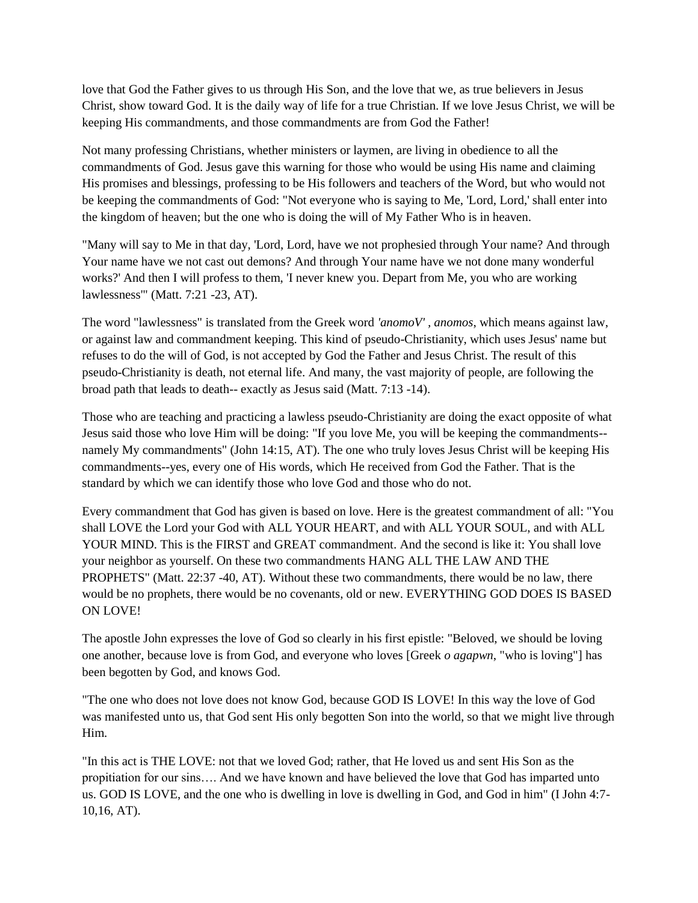love that God the Father gives to us through His Son, and the love that we, as true believers in Jesus Christ, show toward God. It is the daily way of life for a true Christian. If we love Jesus Christ, we will be keeping His commandments, and those commandments are from God the Father!

Not many professing Christians, whether ministers or laymen, are living in obedience to all the commandments of God. Jesus gave this warning for those who would be using His name and claiming His promises and blessings, professing to be His followers and teachers of the Word, but who would not be keeping the commandments of God: "Not everyone who is saying to Me, 'Lord, Lord,' shall enter into the kingdom of heaven; but the one who is doing the will of My Father Who is in heaven.

"Many will say to Me in that day, 'Lord, Lord, have we not prophesied through Your name? And through Your name have we not cast out demons? And through Your name have we not done many wonderful works?' And then I will profess to them, 'I never knew you. Depart from Me, you who are working lawlessness'" (Matt. 7:21 -23, AT).

The word "lawlessness" is translated from the Greek word *'anomoV' , anomos*, which means against law, or against law and commandment keeping. This kind of pseudo-Christianity, which uses Jesus' name but refuses to do the will of God, is not accepted by God the Father and Jesus Christ. The result of this pseudo-Christianity is death, not eternal life. And many, the vast majority of people, are following the broad path that leads to death-- exactly as Jesus said (Matt. 7:13 -14).

Those who are teaching and practicing a lawless pseudo-Christianity are doing the exact opposite of what Jesus said those who love Him will be doing: "If you love Me, you will be keeping the commandments- namely My commandments" (John 14:15, AT). The one who truly loves Jesus Christ will be keeping His commandments--yes, every one of His words, which He received from God the Father. That is the standard by which we can identify those who love God and those who do not.

Every commandment that God has given is based on love. Here is the greatest commandment of all: "You shall LOVE the Lord your God with ALL YOUR HEART, and with ALL YOUR SOUL, and with ALL YOUR MIND. This is the FIRST and GREAT commandment. And the second is like it: You shall love your neighbor as yourself. On these two commandments HANG ALL THE LAW AND THE PROPHETS" (Matt. 22:37 -40, AT). Without these two commandments, there would be no law, there would be no prophets, there would be no covenants, old or new. EVERYTHING GOD DOES IS BASED ON LOVE!

The apostle John expresses the love of God so clearly in his first epistle: "Beloved, we should be loving one another, because love is from God, and everyone who loves [Greek *o agapwn*, "who is loving"] has been begotten by God, and knows God.

"The one who does not love does not know God, because GOD IS LOVE! In this way the love of God was manifested unto us, that God sent His only begotten Son into the world, so that we might live through Him.

"In this act is THE LOVE: not that we loved God; rather, that He loved us and sent His Son as the propitiation for our sins…. And we have known and have believed the love that God has imparted unto us. GOD IS LOVE, and the one who is dwelling in love is dwelling in God, and God in him" (I John 4:7- 10,16, AT).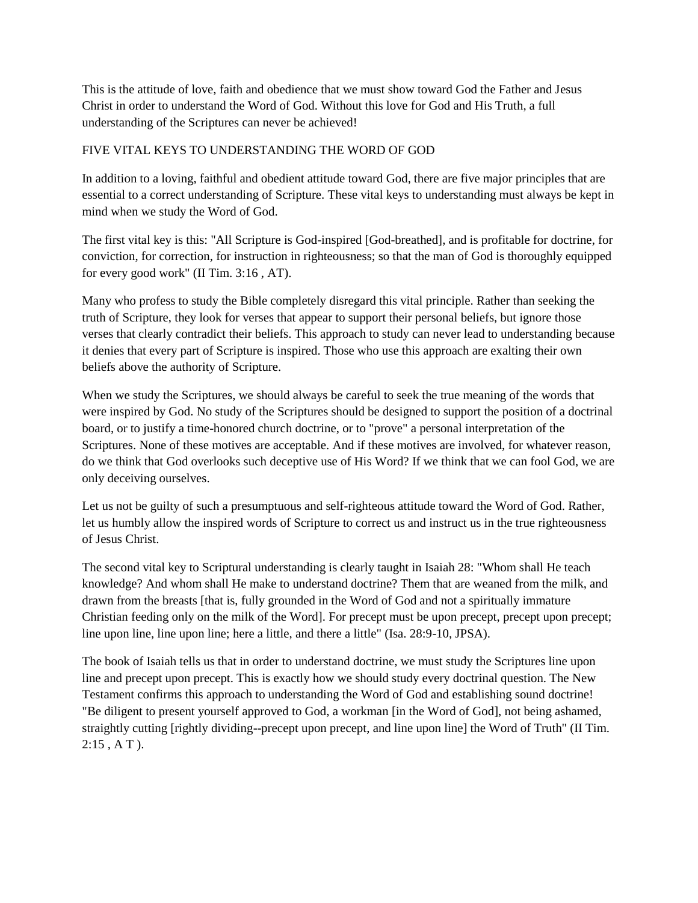This is the attitude of love, faith and obedience that we must show toward God the Father and Jesus Christ in order to understand the Word of God. Without this love for God and His Truth, a full understanding of the Scriptures can never be achieved!

### FIVE VITAL KEYS TO UNDERSTANDING THE WORD OF GOD

In addition to a loving, faithful and obedient attitude toward God, there are five major principles that are essential to a correct understanding of Scripture. These vital keys to understanding must always be kept in mind when we study the Word of God.

The first vital key is this: "All Scripture is God-inspired [God-breathed], and is profitable for doctrine, for conviction, for correction, for instruction in righteousness; so that the man of God is thoroughly equipped for every good work" (II Tim. 3:16 , AT).

Many who profess to study the Bible completely disregard this vital principle. Rather than seeking the truth of Scripture, they look for verses that appear to support their personal beliefs, but ignore those verses that clearly contradict their beliefs. This approach to study can never lead to understanding because it denies that every part of Scripture is inspired. Those who use this approach are exalting their own beliefs above the authority of Scripture.

When we study the Scriptures, we should always be careful to seek the true meaning of the words that were inspired by God. No study of the Scriptures should be designed to support the position of a doctrinal board, or to justify a time-honored church doctrine, or to "prove" a personal interpretation of the Scriptures. None of these motives are acceptable. And if these motives are involved, for whatever reason, do we think that God overlooks such deceptive use of His Word? If we think that we can fool God, we are only deceiving ourselves.

Let us not be guilty of such a presumptuous and self-righteous attitude toward the Word of God. Rather, let us humbly allow the inspired words of Scripture to correct us and instruct us in the true righteousness of Jesus Christ.

The second vital key to Scriptural understanding is clearly taught in Isaiah 28: "Whom shall He teach knowledge? And whom shall He make to understand doctrine? Them that are weaned from the milk, and drawn from the breasts [that is, fully grounded in the Word of God and not a spiritually immature Christian feeding only on the milk of the Word]. For precept must be upon precept, precept upon precept; line upon line, line upon line; here a little, and there a little" (Isa. 28:9-10, JPSA).

The book of Isaiah tells us that in order to understand doctrine, we must study the Scriptures line upon line and precept upon precept. This is exactly how we should study every doctrinal question. The New Testament confirms this approach to understanding the Word of God and establishing sound doctrine! "Be diligent to present yourself approved to God, a workman [in the Word of God], not being ashamed, straightly cutting [rightly dividing--precept upon precept, and line upon line] the Word of Truth" (II Tim. 2:15 , A T ).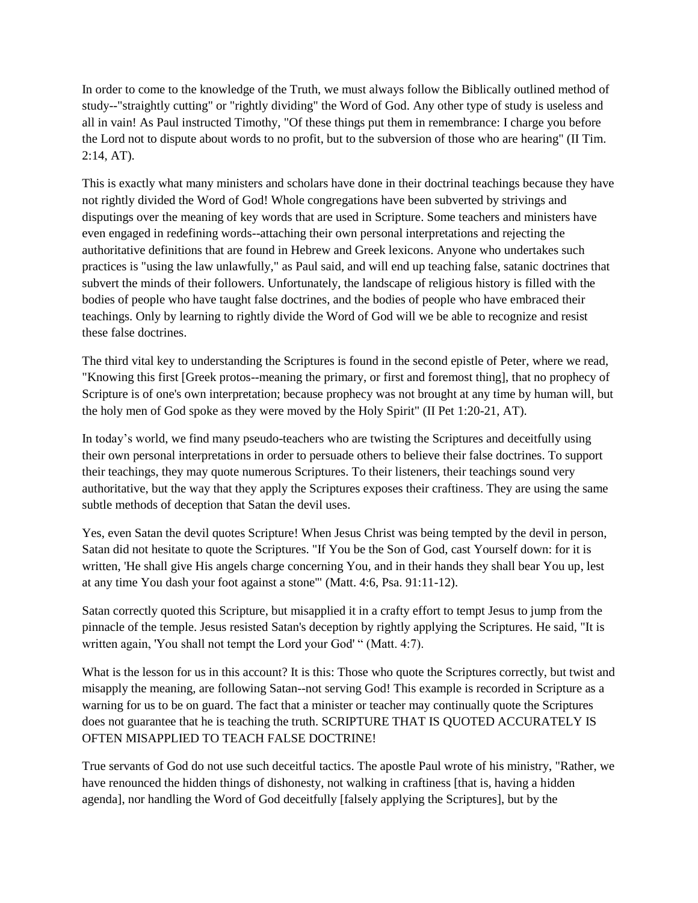In order to come to the knowledge of the Truth, we must always follow the Biblically outlined method of study--"straightly cutting" or "rightly dividing" the Word of God. Any other type of study is useless and all in vain! As Paul instructed Timothy, "Of these things put them in remembrance: I charge you before the Lord not to dispute about words to no profit, but to the subversion of those who are hearing" (II Tim. 2:14, AT).

This is exactly what many ministers and scholars have done in their doctrinal teachings because they have not rightly divided the Word of God! Whole congregations have been subverted by strivings and disputings over the meaning of key words that are used in Scripture. Some teachers and ministers have even engaged in redefining words--attaching their own personal interpretations and rejecting the authoritative definitions that are found in Hebrew and Greek lexicons. Anyone who undertakes such practices is "using the law unlawfully," as Paul said, and will end up teaching false, satanic doctrines that subvert the minds of their followers. Unfortunately, the landscape of religious history is filled with the bodies of people who have taught false doctrines, and the bodies of people who have embraced their teachings. Only by learning to rightly divide the Word of God will we be able to recognize and resist these false doctrines.

The third vital key to understanding the Scriptures is found in the second epistle of Peter, where we read, "Knowing this first [Greek protos--meaning the primary, or first and foremost thing], that no prophecy of Scripture is of one's own interpretation; because prophecy was not brought at any time by human will, but the holy men of God spoke as they were moved by the Holy Spirit" (II Pet 1:20-21, AT).

In today's world, we find many pseudo-teachers who are twisting the Scriptures and deceitfully using their own personal interpretations in order to persuade others to believe their false doctrines. To support their teachings, they may quote numerous Scriptures. To their listeners, their teachings sound very authoritative, but the way that they apply the Scriptures exposes their craftiness. They are using the same subtle methods of deception that Satan the devil uses.

Yes, even Satan the devil quotes Scripture! When Jesus Christ was being tempted by the devil in person, Satan did not hesitate to quote the Scriptures. "If You be the Son of God, cast Yourself down: for it is written, 'He shall give His angels charge concerning You, and in their hands they shall bear You up, lest at any time You dash your foot against a stone'" (Matt. 4:6, Psa. 91:11-12).

Satan correctly quoted this Scripture, but misapplied it in a crafty effort to tempt Jesus to jump from the pinnacle of the temple. Jesus resisted Satan's deception by rightly applying the Scriptures. He said, "It is written again, 'You shall not tempt the Lord your God' " (Matt. 4:7).

What is the lesson for us in this account? It is this: Those who quote the Scriptures correctly, but twist and misapply the meaning, are following Satan--not serving God! This example is recorded in Scripture as a warning for us to be on guard. The fact that a minister or teacher may continually quote the Scriptures does not guarantee that he is teaching the truth. SCRIPTURE THAT IS QUOTED ACCURATELY IS OFTEN MISAPPLIED TO TEACH FALSE DOCTRINE!

True servants of God do not use such deceitful tactics. The apostle Paul wrote of his ministry, "Rather, we have renounced the hidden things of dishonesty, not walking in craftiness [that is, having a hidden agenda], nor handling the Word of God deceitfully [falsely applying the Scriptures], but by the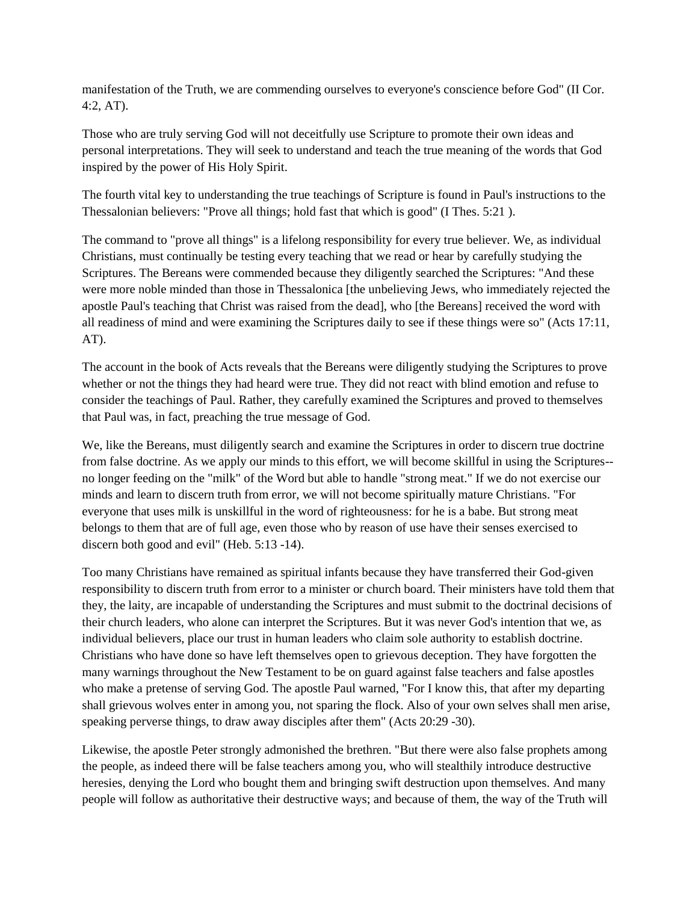manifestation of the Truth, we are commending ourselves to everyone's conscience before God" (II Cor. 4:2, AT).

Those who are truly serving God will not deceitfully use Scripture to promote their own ideas and personal interpretations. They will seek to understand and teach the true meaning of the words that God inspired by the power of His Holy Spirit.

The fourth vital key to understanding the true teachings of Scripture is found in Paul's instructions to the Thessalonian believers: "Prove all things; hold fast that which is good" (I Thes. 5:21 ).

The command to "prove all things" is a lifelong responsibility for every true believer. We, as individual Christians, must continually be testing every teaching that we read or hear by carefully studying the Scriptures. The Bereans were commended because they diligently searched the Scriptures: "And these were more noble minded than those in Thessalonica [the unbelieving Jews, who immediately rejected the apostle Paul's teaching that Christ was raised from the dead], who [the Bereans] received the word with all readiness of mind and were examining the Scriptures daily to see if these things were so" (Acts 17:11, AT).

The account in the book of Acts reveals that the Bereans were diligently studying the Scriptures to prove whether or not the things they had heard were true. They did not react with blind emotion and refuse to consider the teachings of Paul. Rather, they carefully examined the Scriptures and proved to themselves that Paul was, in fact, preaching the true message of God.

We, like the Bereans, must diligently search and examine the Scriptures in order to discern true doctrine from false doctrine. As we apply our minds to this effort, we will become skillful in using the Scriptures- no longer feeding on the "milk" of the Word but able to handle "strong meat." If we do not exercise our minds and learn to discern truth from error, we will not become spiritually mature Christians. "For everyone that uses milk is unskillful in the word of righteousness: for he is a babe. But strong meat belongs to them that are of full age, even those who by reason of use have their senses exercised to discern both good and evil" (Heb. 5:13 -14).

Too many Christians have remained as spiritual infants because they have transferred their God-given responsibility to discern truth from error to a minister or church board. Their ministers have told them that they, the laity, are incapable of understanding the Scriptures and must submit to the doctrinal decisions of their church leaders, who alone can interpret the Scriptures. But it was never God's intention that we, as individual believers, place our trust in human leaders who claim sole authority to establish doctrine. Christians who have done so have left themselves open to grievous deception. They have forgotten the many warnings throughout the New Testament to be on guard against false teachers and false apostles who make a pretense of serving God. The apostle Paul warned, "For I know this, that after my departing shall grievous wolves enter in among you, not sparing the flock. Also of your own selves shall men arise, speaking perverse things, to draw away disciples after them" (Acts 20:29 -30).

Likewise, the apostle Peter strongly admonished the brethren. "But there were also false prophets among the people, as indeed there will be false teachers among you, who will stealthily introduce destructive heresies, denying the Lord who bought them and bringing swift destruction upon themselves. And many people will follow as authoritative their destructive ways; and because of them, the way of the Truth will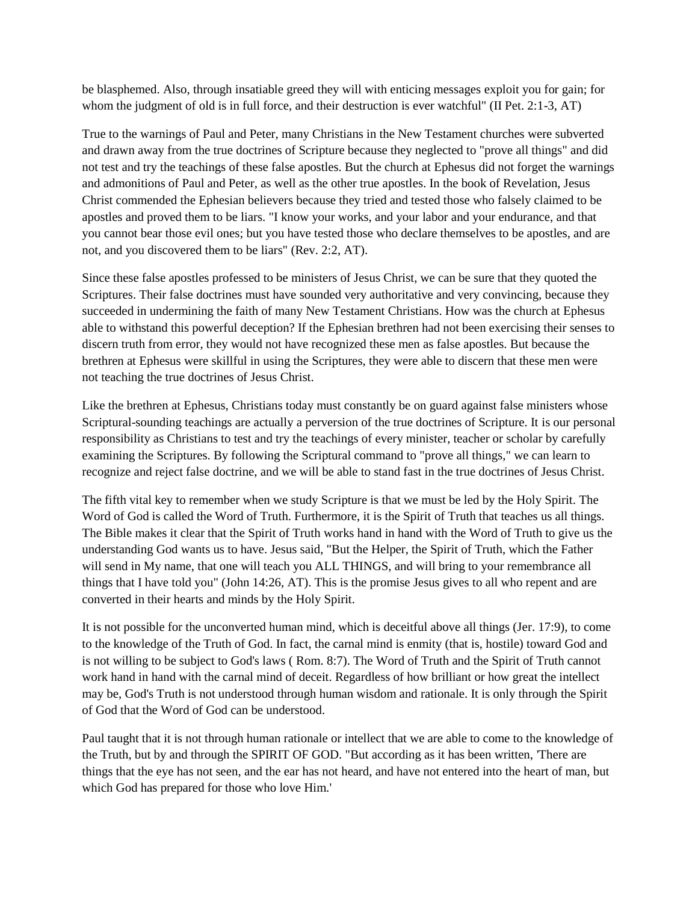be blasphemed. Also, through insatiable greed they will with enticing messages exploit you for gain; for whom the judgment of old is in full force, and their destruction is ever watchful" (II Pet. 2:1-3, AT)

True to the warnings of Paul and Peter, many Christians in the New Testament churches were subverted and drawn away from the true doctrines of Scripture because they neglected to "prove all things" and did not test and try the teachings of these false apostles. But the church at Ephesus did not forget the warnings and admonitions of Paul and Peter, as well as the other true apostles. In the book of Revelation, Jesus Christ commended the Ephesian believers because they tried and tested those who falsely claimed to be apostles and proved them to be liars. "I know your works, and your labor and your endurance, and that you cannot bear those evil ones; but you have tested those who declare themselves to be apostles, and are not, and you discovered them to be liars" (Rev. 2:2, AT).

Since these false apostles professed to be ministers of Jesus Christ, we can be sure that they quoted the Scriptures. Their false doctrines must have sounded very authoritative and very convincing, because they succeeded in undermining the faith of many New Testament Christians. How was the church at Ephesus able to withstand this powerful deception? If the Ephesian brethren had not been exercising their senses to discern truth from error, they would not have recognized these men as false apostles. But because the brethren at Ephesus were skillful in using the Scriptures, they were able to discern that these men were not teaching the true doctrines of Jesus Christ.

Like the brethren at Ephesus, Christians today must constantly be on guard against false ministers whose Scriptural-sounding teachings are actually a perversion of the true doctrines of Scripture. It is our personal responsibility as Christians to test and try the teachings of every minister, teacher or scholar by carefully examining the Scriptures. By following the Scriptural command to "prove all things," we can learn to recognize and reject false doctrine, and we will be able to stand fast in the true doctrines of Jesus Christ.

The fifth vital key to remember when we study Scripture is that we must be led by the Holy Spirit. The Word of God is called the Word of Truth. Furthermore, it is the Spirit of Truth that teaches us all things. The Bible makes it clear that the Spirit of Truth works hand in hand with the Word of Truth to give us the understanding God wants us to have. Jesus said, "But the Helper, the Spirit of Truth, which the Father will send in My name, that one will teach you ALL THINGS, and will bring to your remembrance all things that I have told you" (John 14:26, AT). This is the promise Jesus gives to all who repent and are converted in their hearts and minds by the Holy Spirit.

It is not possible for the unconverted human mind, which is deceitful above all things (Jer. 17:9), to come to the knowledge of the Truth of God. In fact, the carnal mind is enmity (that is, hostile) toward God and is not willing to be subject to God's laws ( Rom. 8:7). The Word of Truth and the Spirit of Truth cannot work hand in hand with the carnal mind of deceit. Regardless of how brilliant or how great the intellect may be, God's Truth is not understood through human wisdom and rationale. It is only through the Spirit of God that the Word of God can be understood.

Paul taught that it is not through human rationale or intellect that we are able to come to the knowledge of the Truth, but by and through the SPIRIT OF GOD. "But according as it has been written, 'There are things that the eye has not seen, and the ear has not heard, and have not entered into the heart of man, but which God has prepared for those who love Him.'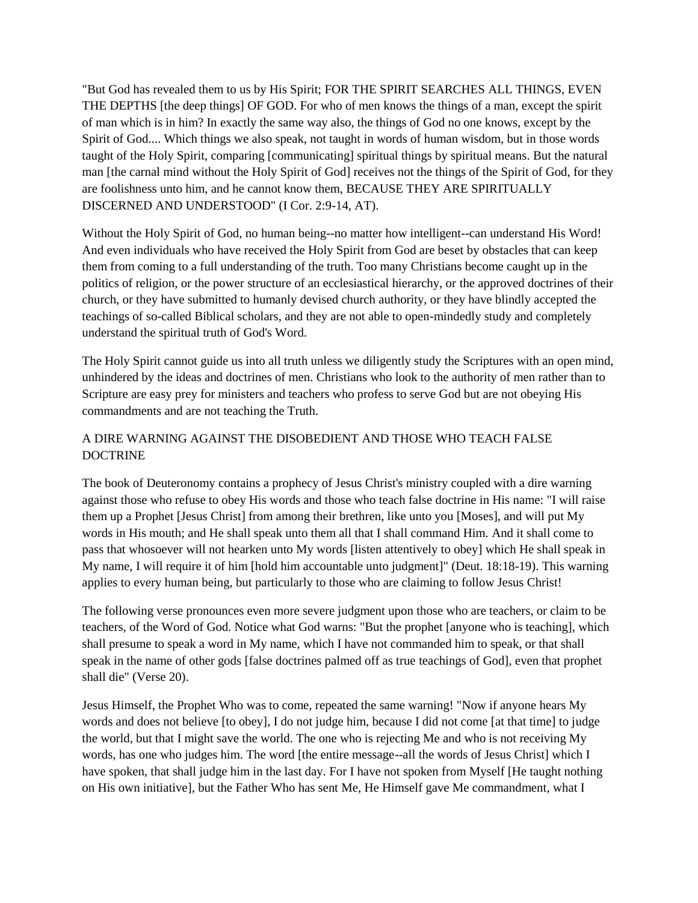"But God has revealed them to us by His Spirit; FOR THE SPIRIT SEARCHES ALL THINGS, EVEN THE DEPTHS [the deep things] OF GOD. For who of men knows the things of a man, except the spirit of man which is in him? In exactly the same way also, the things of God no one knows, except by the Spirit of God.... Which things we also speak, not taught in words of human wisdom, but in those words taught of the Holy Spirit, comparing [communicating] spiritual things by spiritual means. But the natural man [the carnal mind without the Holy Spirit of God] receives not the things of the Spirit of God, for they are foolishness unto him, and he cannot know them, BECAUSE THEY ARE SPIRITUALLY DISCERNED AND UNDERSTOOD" (I Cor. 2:9-14, AT).

Without the Holy Spirit of God, no human being--no matter how intelligent--can understand His Word! And even individuals who have received the Holy Spirit from God are beset by obstacles that can keep them from coming to a full understanding of the truth. Too many Christians become caught up in the politics of religion, or the power structure of an ecclesiastical hierarchy, or the approved doctrines of their church, or they have submitted to humanly devised church authority, or they have blindly accepted the teachings of so-called Biblical scholars, and they are not able to open-mindedly study and completely understand the spiritual truth of God's Word.

The Holy Spirit cannot guide us into all truth unless we diligently study the Scriptures with an open mind, unhindered by the ideas and doctrines of men. Christians who look to the authority of men rather than to Scripture are easy prey for ministers and teachers who profess to serve God but are not obeying His commandments and are not teaching the Truth.

## A DIRE WARNING AGAINST THE DISOBEDIENT AND THOSE WHO TEACH FALSE DOCTRINE

The book of Deuteronomy contains a prophecy of Jesus Christ's ministry coupled with a dire warning against those who refuse to obey His words and those who teach false doctrine in His name: "I will raise them up a Prophet [Jesus Christ] from among their brethren, like unto you [Moses], and will put My words in His mouth; and He shall speak unto them all that I shall command Him. And it shall come to pass that whosoever will not hearken unto My words [listen attentively to obey] which He shall speak in My name, I will require it of him [hold him accountable unto judgment]" (Deut. 18:18-19). This warning applies to every human being, but particularly to those who are claiming to follow Jesus Christ!

The following verse pronounces even more severe judgment upon those who are teachers, or claim to be teachers, of the Word of God. Notice what God warns: "But the prophet [anyone who is teaching], which shall presume to speak a word in My name, which I have not commanded him to speak, or that shall speak in the name of other gods [false doctrines palmed off as true teachings of God], even that prophet shall die" (Verse 20).

Jesus Himself, the Prophet Who was to come, repeated the same warning! "Now if anyone hears My words and does not believe [to obey], I do not judge him, because I did not come [at that time] to judge the world, but that I might save the world. The one who is rejecting Me and who is not receiving My words, has one who judges him. The word [the entire message--all the words of Jesus Christ] which I have spoken, that shall judge him in the last day. For I have not spoken from Myself [He taught nothing on His own initiative], but the Father Who has sent Me, He Himself gave Me commandment, what I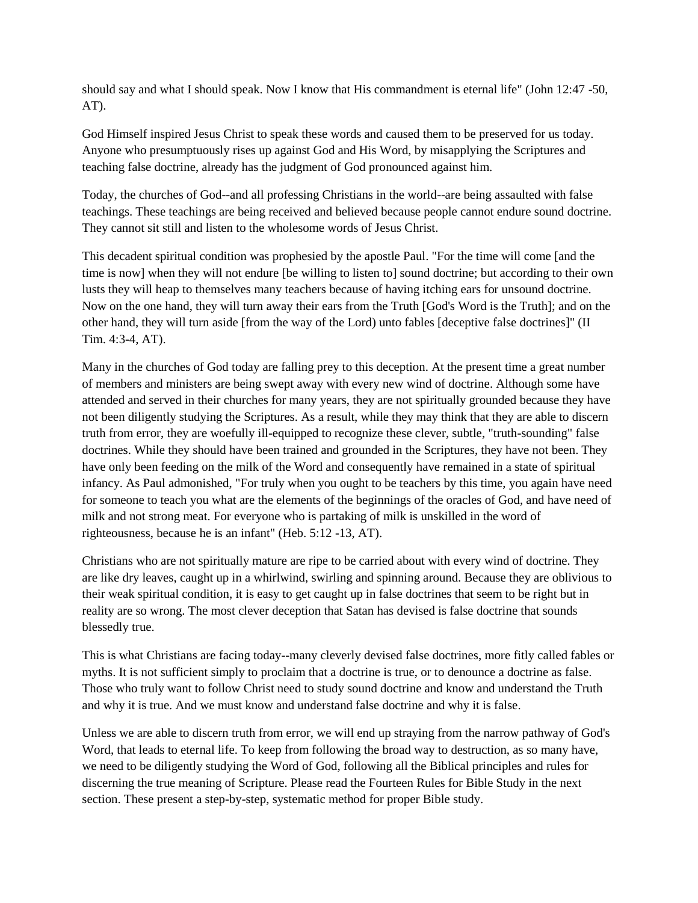should say and what I should speak. Now I know that His commandment is eternal life" (John 12:47 -50, AT).

God Himself inspired Jesus Christ to speak these words and caused them to be preserved for us today. Anyone who presumptuously rises up against God and His Word, by misapplying the Scriptures and teaching false doctrine, already has the judgment of God pronounced against him.

Today, the churches of God--and all professing Christians in the world--are being assaulted with false teachings. These teachings are being received and believed because people cannot endure sound doctrine. They cannot sit still and listen to the wholesome words of Jesus Christ.

This decadent spiritual condition was prophesied by the apostle Paul. "For the time will come [and the time is now] when they will not endure [be willing to listen to] sound doctrine; but according to their own lusts they will heap to themselves many teachers because of having itching ears for unsound doctrine. Now on the one hand, they will turn away their ears from the Truth [God's Word is the Truth]; and on the other hand, they will turn aside [from the way of the Lord) unto fables [deceptive false doctrines]" (II Tim. 4:3-4, AT).

Many in the churches of God today are falling prey to this deception. At the present time a great number of members and ministers are being swept away with every new wind of doctrine. Although some have attended and served in their churches for many years, they are not spiritually grounded because they have not been diligently studying the Scriptures. As a result, while they may think that they are able to discern truth from error, they are woefully ill-equipped to recognize these clever, subtle, "truth-sounding" false doctrines. While they should have been trained and grounded in the Scriptures, they have not been. They have only been feeding on the milk of the Word and consequently have remained in a state of spiritual infancy. As Paul admonished, "For truly when you ought to be teachers by this time, you again have need for someone to teach you what are the elements of the beginnings of the oracles of God, and have need of milk and not strong meat. For everyone who is partaking of milk is unskilled in the word of righteousness, because he is an infant" (Heb. 5:12 -13, AT).

Christians who are not spiritually mature are ripe to be carried about with every wind of doctrine. They are like dry leaves, caught up in a whirlwind, swirling and spinning around. Because they are oblivious to their weak spiritual condition, it is easy to get caught up in false doctrines that seem to be right but in reality are so wrong. The most clever deception that Satan has devised is false doctrine that sounds blessedly true.

This is what Christians are facing today--many cleverly devised false doctrines, more fitly called fables or myths. It is not sufficient simply to proclaim that a doctrine is true, or to denounce a doctrine as false. Those who truly want to follow Christ need to study sound doctrine and know and understand the Truth and why it is true. And we must know and understand false doctrine and why it is false.

Unless we are able to discern truth from error, we will end up straying from the narrow pathway of God's Word, that leads to eternal life. To keep from following the broad way to destruction, as so many have, we need to be diligently studying the Word of God, following all the Biblical principles and rules for discerning the true meaning of Scripture. Please read the Fourteen Rules for Bible Study in the next section. These present a step-by-step, systematic method for proper Bible study.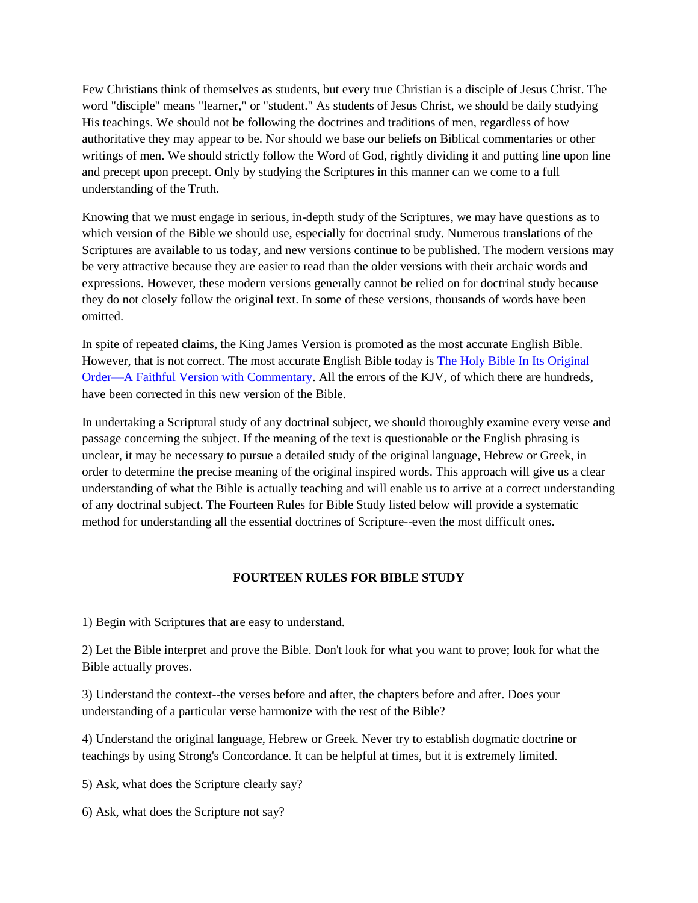Few Christians think of themselves as students, but every true Christian is a disciple of Jesus Christ. The word "disciple" means "learner," or "student." As students of Jesus Christ, we should be daily studying His teachings. We should not be following the doctrines and traditions of men, regardless of how authoritative they may appear to be. Nor should we base our beliefs on Biblical commentaries or other writings of men. We should strictly follow the Word of God, rightly dividing it and putting line upon line and precept upon precept. Only by studying the Scriptures in this manner can we come to a full understanding of the Truth.

Knowing that we must engage in serious, in-depth study of the Scriptures, we may have questions as to which version of the Bible we should use, especially for doctrinal study. Numerous translations of the Scriptures are available to us today, and new versions continue to be published. The modern versions may be very attractive because they are easier to read than the older versions with their archaic words and expressions. However, these modern versions generally cannot be relied on for doctrinal study because they do not closely follow the original text. In some of these versions, thousands of words have been omitted.

In spite of repeated claims, the King James Version is promoted as the most accurate English Bible. However, that is not correct. The most accurate English Bible today is [The Holy Bible In Its Original](http://www.churchathome.org/bible-special-offer.html)  [Order—A Faithful Version with Commentary.](http://www.churchathome.org/bible-special-offer.html) All the errors of the KJV, of which there are hundreds, have been corrected in this new version of the Bible.

In undertaking a Scriptural study of any doctrinal subject, we should thoroughly examine every verse and passage concerning the subject. If the meaning of the text is questionable or the English phrasing is unclear, it may be necessary to pursue a detailed study of the original language, Hebrew or Greek, in order to determine the precise meaning of the original inspired words. This approach will give us a clear understanding of what the Bible is actually teaching and will enable us to arrive at a correct understanding of any doctrinal subject. The Fourteen Rules for Bible Study listed below will provide a systematic method for understanding all the essential doctrines of Scripture--even the most difficult ones.

#### **FOURTEEN RULES FOR BIBLE STUDY**

1) Begin with Scriptures that are easy to understand.

2) Let the Bible interpret and prove the Bible. Don't look for what you want to prove; look for what the Bible actually proves.

3) Understand the context--the verses before and after, the chapters before and after. Does your understanding of a particular verse harmonize with the rest of the Bible?

4) Understand the original language, Hebrew or Greek. Never try to establish dogmatic doctrine or teachings by using Strong's Concordance. It can be helpful at times, but it is extremely limited.

5) Ask, what does the Scripture clearly say?

6) Ask, what does the Scripture not say?